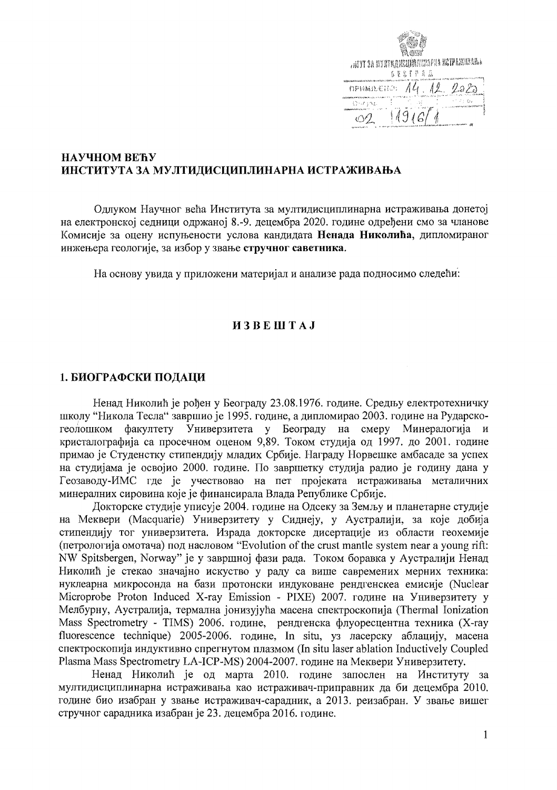| ANY SA MY STALE SELLER MARAPAN ME TE AN HEARA |
|-----------------------------------------------|
| 自豪客半节高器                                       |
| 14.12.<br>ПРИМИЖЕНО!<br>-25,                  |
| िन्त्र स्थान                                  |
|                                               |

## НАУЧНОМ ВЕЋУ ИНСТИТУТА ЗА МУЛТИДИСЦИПЛИНАРНА ИСТРАЖИВАЊА

Одлуком Научног већа Института за мултидисциплинарна истраживања донетој на електронској седници одржаној 8.-9. децембра 2020. године одређени смо за чланове Комисије за оцену испуњености услова кандидата Ненада Николића, дипломираног инжењера геологије, за избор у звање стручног саветника.

На основу увида у приложени материјал и анализе рада подносимо следећи:

#### **H3BEIHTAJ**

#### 1. БИОГРАФСКИ ПОДАЦИ

Ненад Николић је рођен у Београду 23.08.1976. године. Средњу електротехничку школу "Никола Тесла" завршио је 1995. године, а дипломирао 2003. године на Рударскогеолошком факултету Универзитета у Београду на смеру Минералогија и кристалографија са просечном оценом 9,89. Током студија од 1997. до 2001. године примао је Студенстку стипендију младих Србије. Награду Норвешке амбасаде за успех на студијама је освојио 2000. године. По завршетку студија радио је годину дана у Геозаводу-ИМС где је учествовао на пет пројеката истраживања металичних минералних сировина које је финансирала Влада Републике Србије.

Докторске студије уписује 2004. године на Одсеку за Земљу и планетарне студије на Меквери (Macquarie) Универзитету у Сиднеју, у Аустралији, за које добија стипендију тог универзитета. Израда докторске дисертације из области геохемије (петрологија омотача) под насловом "Evolution of the crust mantle system near a young rift: NW Spitsbergen, Norway" је у завршној фази рада. Током боравка у Аустралији Ненад Николић је стекао значајно искуство у раду са више савремених мерних техника: нуклеарна микросонда на бази протонски индуковане рендгенскеа емисије (Nuclear Microprobe Proton Induced X-ray Emission - PIXE) 2007. године на Универзитету у Мелбурну, Аустралија, термална јонизујућа масена спектроскопија (Thermal Ionization Mass Spectrometry - TIMS) 2006. године, рендгенска флуоресцентна техника (X-ray fluorescence technique) 2005-2006. године, In situ, уз ласерску аблацију, масена спектроскопија индуктивно спрегнутом плазмом (In situ laser ablation Inductively Coupled Plasma Mass Spectrometry LA-ICP-MS) 2004-2007. године на Меквери Универзитету.

Ненад Николић је од марта 2010. године запослен на Институту за мултидисциплинарна истраживања као истраживач-приправник да би децембра 2010. године био изабран у звање истраживач-сарадник, а 2013. реизабран. У звање вишег стручног сарадника изабран је 23. децембра 2016. године.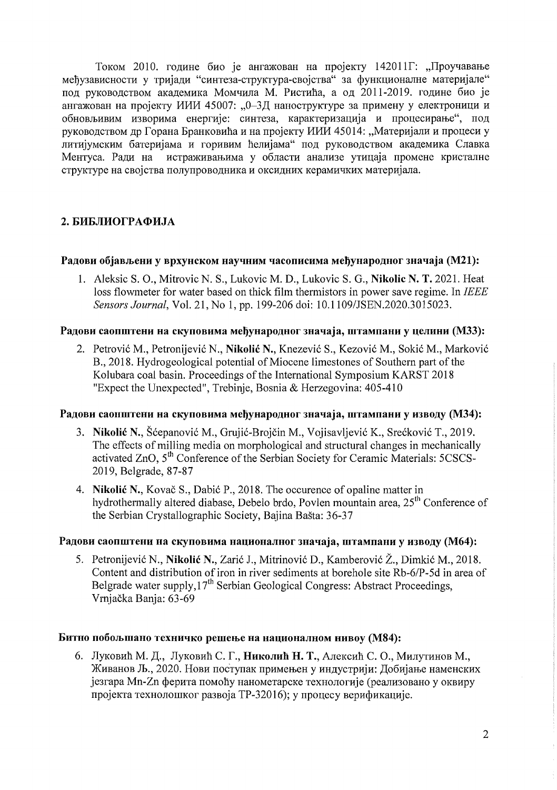Током 2010. године био је ангажован на пројекту 142011 Г. "Проучавање међузависности у тријади "синтеза-структура-својства" за функционалне материјале" под руководством академика Момчила М. Ристића, а од 2011-2019. године био је ангажован на пројекту ИИИ 45007: "0-3Д наноструктуре за примену у електроници и обновљивим изворима енергије: синтеза, карактеризација и процесирање", под руководством др Горана Бранковића и на пројекту ИИИ 45014: "Материјали и процеси у литијумским батеријама и горивим ћелијама" под руководством академика Славка Ментуса. Ради на истраживањима у области анализе утицаја промене кристалне структуре на својства полупроводника и оксидних керамичких материјала.

# 2. БИБЛИОГРАФИЈА

## Радови објављени у врхунском научним часописима међународног значаја (M21):

1. Aleksic S. O., Mitrovic N. S., Lukovic M. D., Lukovic S. G., Nikolic N. T. 2021. Heat loss flowmeter for water based on thick film thermistors in power save regime. In IEEE Sensors Journal, Vol. 21, No 1, pp. 199-206 doi: 10.1109/JSEN.2020.3015023.

## Радови саопштени на скуповима међународног значаја, штампани у целини (МЗЗ):

2. Petrović M., Petronijević N., Nikolić N., Knezević S., Kezović M., Sokić M., Marković B., 2018. Hydrogeological potential of Miocene limestones of Southern part of the Kolubara coal basin. Proceedings of the International Symposium KARST 2018 "Expect the Unexpected", Trebinje, Bosnia & Herzegovina: 405-410

#### Радови саопштени на скуповима међународног значаја, штампани у изводу (МЗ4):

- 3. Nikolić N., Šćepanović M., Grujić-Brojčin M., Vojisavljević K., Srećković T., 2019. The effects of milling media on morphological and structural changes in mechanically activated ZnO, 5<sup>th</sup> Conference of the Serbian Society for Ceramic Materials: 5CSCS-2019, Belgrade, 87-87
- 4. Nikolić N., Kovač S., Dabić P., 2018. The occurence of opaline matter in hydrothermally altered diabase, Debelo brdo, Povlen mountain area, 25<sup>th</sup> Conference of the Serbian Crystallographic Society, Bajina Bašta: 36-37

## Радови саопштени на скуповима националног значаја, штампани у изводу (М64):

5. Petronijević N., Nikolić N., Zarić J., Mitrinović D., Kamberović Ž., Dimkić M., 2018. Content and distribution of iron in river sediments at borehole site Rb-6/P-5d in area of Belgrade water supply, 17<sup>th</sup> Serbian Geological Congress: Abstract Proceedings, Vrnjačka Banja: 63-69

#### Битно побољшано техничко решење на националном нивоу (М84):

6. Луковић М. Д., Луковић С. Г., Николић Н. Т., Алексић С. О., Милутинов М., Живанов Љ., 2020. Нови поступак примењен у индустрији: Добијање наменских језгара Mn-Zn ферита помоћу нанометарске технологије (реализовано у оквиру пројекта технолошког развоја ТР-32016); у процесу верификације.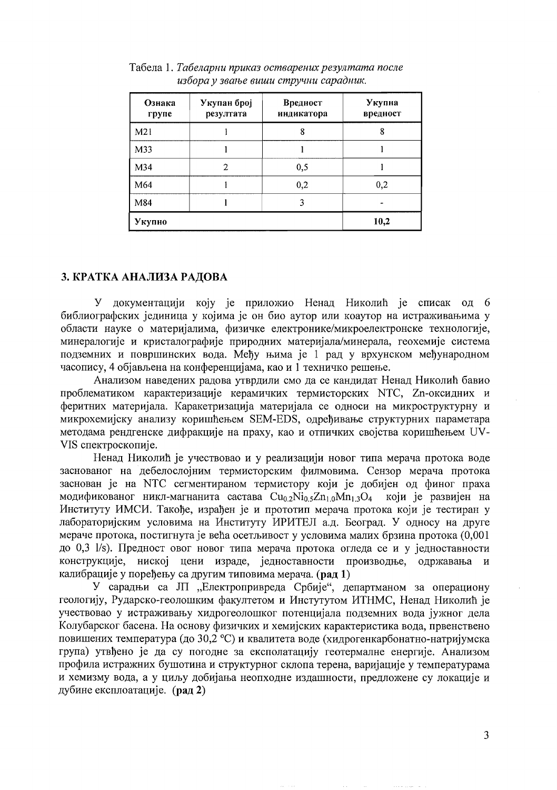| Ознака<br>rpyne | Укупан број<br>резултата | Вредност<br>индикатора | Укупна<br>вредност |
|-----------------|--------------------------|------------------------|--------------------|
| M21             |                          | 8                      | 8                  |
| M33             |                          |                        |                    |
| M34             | $\overline{c}$           | 0,5                    |                    |
| M64             |                          | 0,2                    | 0,2                |
| M84             |                          | 3                      |                    |
| Укупно          |                          |                        | 10,2               |

Табела 1. Табеларни приказ остварених резултата после избора у звање виши стручни сарадник.

## 3. КРАТКА АНАЛИЗА РАДОВА

документацији коју је приложио Ненад Николић је списак од 6 У библиографских јединица у којима је он био аутор или коаутор на истраживањима у области науке о материјалима, физичке електронике/микроелектронске технологије, минералогије и кристалографије природних материјала/минерала, геохемије система подземних и површинских вода. Међу њима је 1 рад у врхунском међународном часопису, 4 објављена на конференцијама, као и 1 техничко решење.

Анализом наведених радова утврдили смо да се кандидат Ненад Николић бавио проблематиком карактеризације керамичких термисторских NTC, Zn-оксидних и феритних материјала. Каракетризација материјала се односи на микроструктурну и микрохемијску анализу коришћењем SEM-EDS, одређивање структурних параметара методама рендгенске дифракције на праху, као и отпичких својства коришћењем UV-VIS спектроскопије.

Ненад Николић је учествовао и у реализацији новог типа мерача протока воде заснованог на дебелослојним термисторским филмовима. Сензор мерача протока заснован је на NTC сегментираном термистору који је добијен од финог праха модификованог никл-магнанита састава  $Cu<sub>0.2</sub>Ni<sub>0.5</sub>Zn<sub>1.0</sub>Mn<sub>1.3</sub>O<sub>4</sub>$ који је развијен на Институту ИМСИ. Такође, израђен је и прототип мерача протока који је тестиран у лабораторијским условима на Институту ИРИТЕЛ а.д. Београд. У односу на друге мераче протока, постигнута је већа осетљивост у условима малих брзина протока (0,001 до 0,3 1/s). Предност овог новог типа мерача протока огледа се и у једноставности конструкције, ниској цени израде, једноставности производње, одржавања калибрације у поређењу са другим типовима мерача. (рад 1)

У сарадњи са ЈП "Електропривреда Србије", департманом за операциону геологију, Рударско-геолошким факултетом и Инстутутом ИТНМС, Ненад Николић је учествовао у истраживању хидрогеолошког потенцијала подземних вода јужног дела Колубарског басена. На основу физичких и хемијских карактеристика вода, првенствено повишених температура (до 30,2 °С) и квалитета воде (хидрогенкарбонатно-натријумска група) утвђено је да су погодне за експолатацију геотермалне енергије. Анализом профила истражних бушотина и структурног склопа терена, варијације у температурама и хемизму вода, а у циљу добијања неопходне издашности, предложене су локације и дубине експлоатације. (рад 2)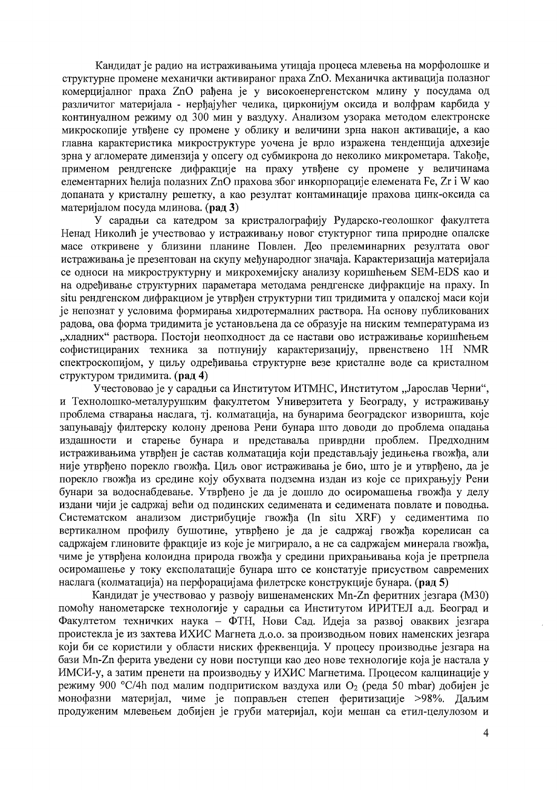Кандидат је радио на истраживањима утицаја процеса млевења на морфолошке и структурне промене механички активираног праха ZnO. Механичка активација полазног комерцијалног праха ZnO рађена је у високоенергенстском млину у посудама од различитог материјала - нерђајућег челика, цирконијум оксида и волфрам карбида у континуалном режиму од 300 мин у ваздуху. Анализом узорака методом електронске микроскопије утвђене су промене у облику и величини зрна након активације, а као главна карактеристика микроструктуре уочена је врло изражена тенденција адхезије зрна у агломерате димензија у опсегу од субмикрона до неколико микрометара. Такође, применом рендгенске дифракције на праху утвђене су промене у величинама елементарних ћелија полазних ZnO прахова због инкорпорације елемената Fe, Zr i W као допаната у кристалну решетку, а као резултат контаминације прахова цинк-оксида са материјалом посуда млинова. (рад 3)

У сарадњи са катедром за кристралографију Рударско-геолошког факултета Ненад Николић је учествовао у истраживању новог стуктурног типа природне опалске масе откривене у близини планине Повлен. Део прелеминарних резултата овог истраживања је презентован на скупу међународног значаја. Карактеризација материјала се односи на микроструктурну и микрохемијску анализу коришћењем SEM-EDS као и на одређивање структурних параметара методама рендгенске дифракције на праху. In situ рендгенском дифракциом је утврђен структурни тип тридимита у опалској маси који је непознат у условима формирања хидротермалних раствора. На основу публикованих радова, ова форма тридимита је установљена да се образује на ниским температурама из "хладних" раствора. Постоји неопходност да се настави ово истраживање коришћењем софистицираних техника за потпунију карактеризацију, првенствено 1H NMR спектроскопијом, у циљу одређивања структурне везе кристалне воде са кристалном структуром тридимита. (рад 4)

Учестововао је у сарадњи са Институтом ИТМНС, Институтом "Јарослав Черни", и Технолошко-металурушким факултетом Универзитета у Београду, у истраживању проблема стварања наслага, тј. колматација, на бунарима београдског изворишта, које запуњавају филтерску колону дренова Рени бунара што доводи до проблема опадања издашности и старење бунара и представаља приврдни проблем. Предходним истраживањима утврђен је састав колматација који представљају једињења гвожђа, али није утврђено порекло гвожђа. Циљ овог истраживања је био, што је и утврђено, да је порекло гвожђа из средине коју обухвата подземна издан из које се прихрањују Рени бунари за водоснабдевање. Утврђено је да је дошло до осиромашења гвожђа у делу издани чији је садржај већи од подинских седимената и седимената повлате и поводња. Систематском анализом дистрибуције гвожђа (In situ XRF) у седиментима по вертикалном профилу бушотине, утврђено је да је садржај гвожђа корелисан са садржајем глиновите фракције из које је мигрирало, а не са садржајем минерала гвожђа, чиме је утврђена колоидна природа гвожђа у средини прихрањивања која је претрпела осиромашење у току експолатације бунара што се констатује присуством савремених наслага (колматација) на перфорацијама филетрске конструкције бунара. (рад 5)

Кандидат је учествовао у развоју вишенаменских Mn-Zn феритних језгара (M30) помоћу нанометарске технологије у сарадњи са Институтом ИРИТЕЛ а.д. Београд и Факултетом техничких наука - ФТН, Нови Сад. Идеја за развој оваквих језгара проистекла је из захтева ИХИС Магнета д.о.о. за производњом нових наменских језгара који би се користили у области ниских фреквенција. У процесу производње језгара на бази Mn-Zn ферита уведени су нови поступци као део нове технологије која је настала у ИМСИ-у, а затим пренети на производњу у ИХИС Магнетима. Процесом калцинације у режиму 900 °С/4h под малим подпритиском ваздуха или  $O_2$  (реда 50 mbar) добијен је монофазни материјал, чиме је поправљен степен феритизације >98%. Даљим продуженим млевењем добијен је груби материјал, који мешан са етил-целулозом и